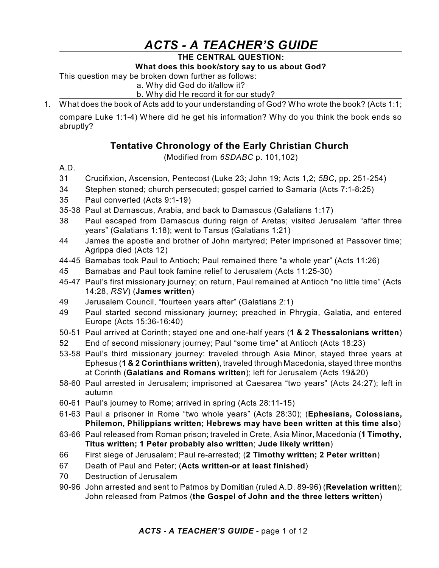# *ACTS - A TEACHER'S GUIDE*

### **THE CENTRAL QUESTION:**

### **What does this book/story say to us about God?**

This question may be broken down further as follows:

a. Why did God do it/allow it?

b. Why did He record it for our study?

1. What does the book of Acts add to your understanding of God? Who wrote the book? (Acts 1:1; compare Luke 1:1-4) Where did he get his information? Why do you think the book ends so

abruptly?

## **Tentative Chronology of the Early Christian Church**

(Modified from *6SDABC* p. 101,102)

A.D.

- 31 Crucifixion, Ascension, Pentecost (Luke 23; John 19; Acts 1,2; *5BC*, pp. 251-254)
- 34 Stephen stoned; church persecuted; gospel carried to Samaria (Acts 7:1-8:25)
- 35 Paul converted (Acts 9:1-19)
- 35-38 Paul at Damascus, Arabia, and back to Damascus (Galatians 1:17)
- 38 Paul escaped from Damascus during reign of Aretas; visited Jerusalem "after three years" (Galatians 1:18); went to Tarsus (Galatians 1:21)
- 44 James the apostle and brother of John martyred; Peter imprisoned at Passover time; Agrippa died (Acts 12)
- 44-45 Barnabas took Paul to Antioch; Paul remained there "a whole year" (Acts 11:26)
- 45 Barnabas and Paul took famine relief to Jerusalem (Acts 11:25-30)
- 45-47 Paul's first missionary journey; on return, Paul remained at Antioch "no little time" (Acts 14:28, *RSV*) (**James written**)
- 49 Jerusalem Council, "fourteen years after" (Galatians 2:1)
- 49 Paul started second missionary journey; preached in Phrygia, Galatia, and entered Europe (Acts 15:36-16:40)
- 50-51 Paul arrived at Corinth; stayed one and one-half years (**1 & 2 Thessalonians written**)
- 52 End of second missionary journey; Paul "some time" at Antioch (Acts 18:23)
- 53-58 Paul's third missionary journey: traveled through Asia Minor, stayed three years at Ephesus (**1 & 2 Corinthians written**), traveled through Macedonia, stayed three months at Corinth (**Galatians and Romans written**); left for Jerusalem (Acts 19&20)
- 58-60 Paul arrested in Jerusalem; imprisoned at Caesarea "two years" (Acts 24:27); left in autumn
- 60-61 Paul's journey to Rome; arrived in spring (Acts 28:11-15)
- 61-63 Paul a prisoner in Rome "two whole years" (Acts 28:30); (**Ephesians, Colossians, Philemon, Philippians written; Hebrews may have been written at this time also**)
- 63-66 Paul released from Roman prison; traveled in Crete, Asia Minor, Macedonia (**1 Timothy, Titus written; 1 Peter probably also written**; **Jude likely written**)
- 66 First siege of Jerusalem; Paul re-arrested; (**2 Timothy written; 2 Peter written**)
- 67 Death of Paul and Peter; (**Acts written-or at least finished**)
- 70 Destruction of Jerusalem
- 90-96 John arrested and sent to Patmos by Domitian (ruled A.D. 89-96) (**Revelation written**); John released from Patmos (**the Gospel of John and the three letters written**)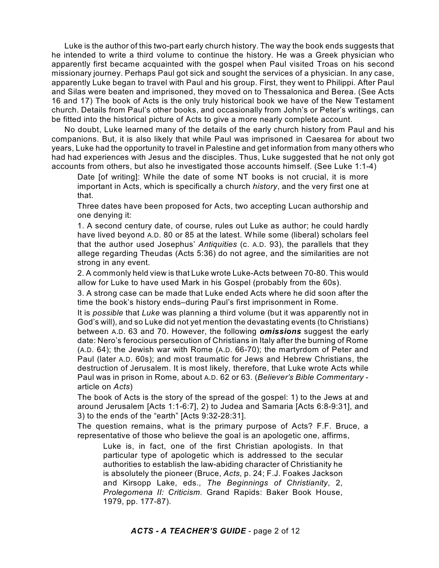Luke is the author of this two-part early church history. The way the book ends suggests that he intended to write a third volume to continue the history. He was a Greek physician who apparently first became acquainted with the gospel when Paul visited Troas on his second missionary journey. Perhaps Paul got sick and sought the services of a physician. In any case, apparently Luke began to travel with Paul and his group. First, they went to Philippi. After Paul and Silas were beaten and imprisoned, they moved on to Thessalonica and Berea. (See Acts 16 and 17) The book of Acts is the only truly historical book we have of the New Testament church. Details from Paul's other books, and occasionally from John's or Peter's writings, can be fitted into the historical picture of Acts to give a more nearly complete account.

No doubt, Luke learned many of the details of the early church history from Paul and his companions. But, it is also likely that while Paul was imprisoned in Caesarea for about two years, Luke had the opportunity to travel in Palestine and get information from many others who had had experiences with Jesus and the disciples. Thus, Luke suggested that he not only got accounts from others, but also he investigated those accounts himself. (See Luke 1:1-4)

Date [of writing]: While the date of some NT books is not crucial, it is more important in Acts, which is specifically a church *history*, and the very first one at that.

Three dates have been proposed for Acts, two accepting Lucan authorship and one denying it:

1. A second century date, of course, rules out Luke as author; he could hardly have lived beyond A.D. 80 or 85 at the latest. While some (liberal) scholars feel that the author used Josephus' *Antiquities* (c. A.D. 93), the parallels that they allege regarding Theudas (Acts 5:36) do not agree, and the similarities are not strong in any event.

2. A commonly held view is that Luke wrote Luke-Acts between 70-80. This would allow for Luke to have used Mark in his Gospel (probably from the 60s).

3. A strong case can be made that Luke ended Acts where he did soon after the time the book's history ends–during Paul's first imprisonment in Rome.

It is *possible* that *Luke* was planning a third volume (but it was apparently not in God's will), and so Luke did not yet mention the devastating events (to Christians) between A.D. 63 and 70. However, the following *omissions* suggest the early date: Nero's ferocious persecution of Christians in Italy after the burning of Rome (A.D. 64); the Jewish war with Rome (A.D. 66-70); the martyrdom of Peter and Paul (later A.D. 60s); and most traumatic for Jews and Hebrew Christians, the destruction of Jerusalem. It is most likely, therefore, that Luke wrote Acts while Paul was in prison in Rome, about A.D. 62 or 63. (*Believer's Bible Commentary* article on *Acts*)

The book of Acts is the story of the spread of the gospel: 1) to the Jews at and around Jerusalem [Acts 1:1-6:7], 2) to Judea and Samaria [Acts 6:8-9:31], and 3) to the ends of the "earth" [Acts 9:32-28:31].

The question remains, what is the primary purpose of Acts? F.F. Bruce, a representative of those who believe the goal is an apologetic one, affirms,

Luke is, in fact, one of the first Christian apologists. In that particular type of apologetic which is addressed to the secular authorities to establish the law-abiding character of Christianity he is absolutely the pioneer (Bruce, *Acts,* p. 24; F.J. Foakes Jackson and Kirsopp Lake, eds., *The Beginnings of Christianity*, 2, *Prolegomena II: Criticism.* Grand Rapids: Baker Book House, 1979, pp. 177-87).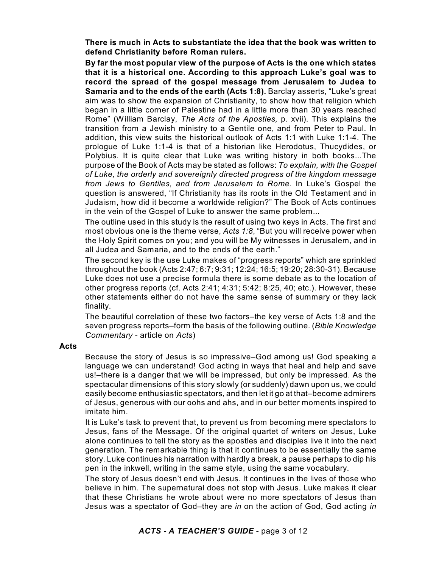**There is much in Acts to substantiate the idea that the book was written to defend Christianity before Roman rulers.**

**By far the most popular view of the purpose of Acts is the one which states that it is a historical one. According to this approach Luke's goal was to record the spread of the gospel message from Jerusalem to Judea to Samaria and to the ends of the earth (Acts 1:8).** Barclay asserts, "Luke's great aim was to show the expansion of Christianity, to show how that religion which began in a little corner of Palestine had in a little more than 30 years reached Rome" (William Barclay, *The Acts of the Apostles,* p. xvii). This explains the transition from a Jewish ministry to a Gentile one, and from Peter to Paul. In addition, this view suits the historical outlook of Acts 1:1 with Luke 1:1-4. The prologue of Luke 1:1-4 is that of a historian like Herodotus, Thucydides, or Polybius. It is quite clear that Luke was writing history in both books...The purpose of the Book of Acts may be stated as follows: *To explain, with the Gospel of Luke, the orderly and sovereignly directed progress of the kingdom message from Jews to Gentiles, and from Jerusalem to Rome.* In Luke's Gospel the question is answered, "If Christianity has its roots in the Old Testament and in Judaism, how did it become a worldwide religion?" The Book of Acts continues in the vein of the Gospel of Luke to answer the same problem...

The outline used in this study is the result of using two keys in Acts. The first and most obvious one is the theme verse, *Acts 1:8*, "But you will receive power when the Holy Spirit comes on you; and you will be My witnesses in Jerusalem, and in all Judea and Samaria, and to the ends of the earth."

The second key is the use Luke makes of "progress reports" which are sprinkled throughout the book (Acts 2:47; 6:7; 9:31; 12:24; 16:5; 19:20; 28:30-31). Because Luke does not use a precise formula there is some debate as to the location of other progress reports (cf. Acts 2:41; 4:31; 5:42; 8:25, 40; etc.). However, these other statements either do not have the same sense of summary or they lack finality.

The beautiful correlation of these two factors–the key verse of Acts 1:8 and the seven progress reports–form the basis of the following outline. (*Bible Knowledge Commentary* - article on *Acts*)

#### **Acts**

Because the story of Jesus is so impressive–God among us! God speaking a language we can understand! God acting in ways that heal and help and save us!–there is a danger that we will be impressed, but only be impressed. As the spectacular dimensions of this story slowly (or suddenly) dawn upon us, we could easily become enthusiastic spectators, and then let it go at that–become admirers of Jesus, generous with our oohs and ahs, and in our better moments inspired to imitate him.

It is Luke's task to prevent that, to prevent us from becoming mere spectators to Jesus, fans of the Message. Of the original quartet of writers on Jesus, Luke alone continues to tell the story as the apostles and disciples live it into the next generation. The remarkable thing is that it continues to be essentially the same story. Luke continues his narration with hardly a break, a pause perhaps to dip his pen in the inkwell, writing in the same style, using the same vocabulary.

The story of Jesus doesn't end with Jesus. It continues in the lives of those who believe in him. The supernatural does not stop with Jesus. Luke makes it clear that these Christians he wrote about were no more spectators of Jesus than Jesus was a spectator of God–they are *in* on the action of God, God acting *in*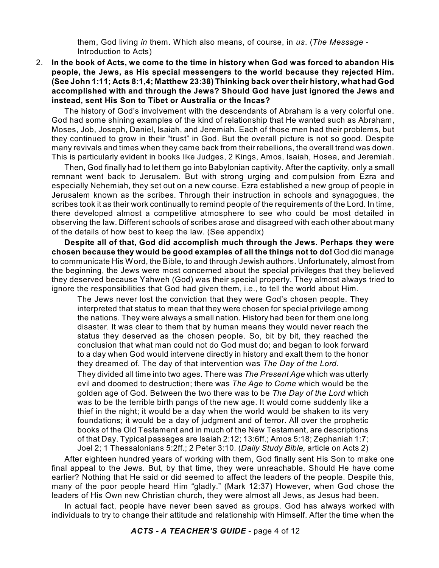them, God living *in* them. Which also means, of course, in *us*. (*The Message* - Introduction to Acts)

2. **In the book of Acts, we come to the time in history when God was forced to abandon His people, the Jews, as His special messengers to the world because they rejected Him. (See John 1:11; Acts 8:1,4; Matthew 23:38) Thinking back over their history, what had God accomplished with and through the Jews? Should God have just ignored the Jews and instead, sent His Son to Tibet or Australia or the Incas?**

The history of God's involvement with the descendants of Abraham is a very colorful one. God had some shining examples of the kind of relationship that He wanted such as Abraham, Moses, Job, Joseph, Daniel, Isaiah, and Jeremiah. Each of those men had their problems, but they continued to grow in their "trust" in God. But the overall picture is not so good. Despite many revivals and times when they came back from their rebellions, the overall trend was down. This is particularly evident in books like Judges, 2 Kings, Amos, Isaiah, Hosea, and Jeremiah.

Then, God finally had to let them go into Babylonian captivity. After the captivity, only a small remnant went back to Jerusalem. But with strong urging and compulsion from Ezra and especially Nehemiah, they set out on a new course. Ezra established a new group of people in Jerusalem known as the scribes. Through their instruction in schools and synagogues, the scribes took it as their work continually to remind people of the requirements of the Lord. In time, there developed almost a competitive atmosphere to see who could be most detailed in observing the law. Different schools of scribes arose and disagreed with each other about many of the details of how best to keep the law. (See appendix)

**Despite all of that, God did accomplish much through the Jews. Perhaps they were chosen because they would be good examples of all the things not to do!** God did manage to communicate His Word, the Bible, to and through Jewish authors. Unfortunately, almost from the beginning, the Jews were most concerned about the special privileges that they believed they deserved because Yahweh (God) was their special property. They almost always tried to ignore the responsibilities that God had given them, i.e., to tell the world about Him.

The Jews never lost the conviction that they were God's chosen people. They interpreted that status to mean that they were chosen for special privilege among the nations. They were always a small nation. History had been for them one long disaster. It was clear to them that by human means they would never reach the status they deserved as the chosen people. So, bit by bit, they reached the conclusion that what man could not do God must do; and began to look forward to a day when God would intervene directly in history and exalt them to the honor they dreamed of. The day of that intervention was *The Day of the Lord*.

They divided all time into two ages. There was *The Present Age* which was utterly evil and doomed to destruction; there was *The Age to Come* which would be the golden age of God. Between the two there was to be *The Day of the Lord* which was to be the terrible birth pangs of the new age. It would come suddenly like a thief in the night; it would be a day when the world would be shaken to its very foundations; it would be a day of judgment and of terror. All over the prophetic books of the Old Testament and in much of the New Testament, are descriptions of that Day. Typical passages are Isaiah 2:12; 13:6ff.; Amos 5:18; Zephaniah 1:7; Joel 2; 1 Thessalonians 5:2ff.; 2 Peter 3:10. (*Daily Study Bible,* article on Acts 2)

After eighteen hundred years of working with them, God finally sent His Son to make one final appeal to the Jews. But, by that time, they were unreachable. Should He have come earlier? Nothing that He said or did seemed to affect the leaders of the people. Despite this, many of the poor people heard Him "gladly." (Mark 12:37) However, when God chose the leaders of His Own new Christian church, they were almost all Jews, as Jesus had been.

In actual fact, people have never been saved as groups. God has always worked with individuals to try to change their attitude and relationship with Himself. After the time when the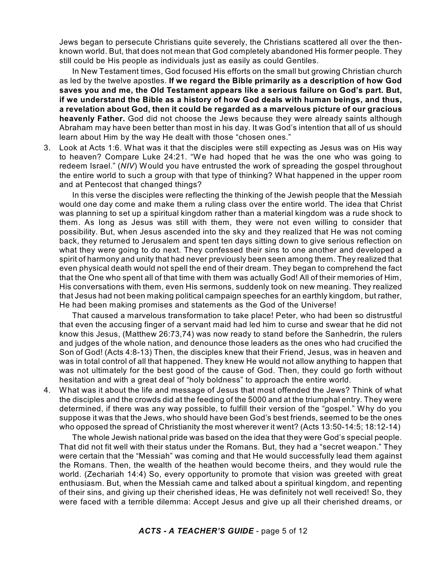Jews began to persecute Christians quite severely, the Christians scattered all over the thenknown world. But, that does not mean that God completely abandoned His former people. They still could be His people as individuals just as easily as could Gentiles.

In New Testament times, God focused His efforts on the small but growing Christian church as led by the twelve apostles. **If we regard the Bible primarily as a description of how God saves you and me, the Old Testament appears like a serious failure on God's part. But, if we understand the Bible as a history of how God deals with human beings, and thus, a revelation about God, then it could be regarded as a marvelous picture of our gracious heavenly Father.** God did not choose the Jews because they were already saints although Abraham may have been better than most in his day. It was God's intention that all of us should learn about Him by the way He dealt with those "chosen ones."

3. Look at Acts 1:6. What was it that the disciples were still expecting as Jesus was on His way to heaven? Compare Luke 24:21. "We had hoped that he was the one who was going to redeem Israel." (*NIV*) Would you have entrusted the work of spreading the gospel throughout the entire world to such a group with that type of thinking? What happened in the upper room and at Pentecost that changed things?

In this verse the disciples were reflecting the thinking of the Jewish people that the Messiah would one day come and make them a ruling class over the entire world. The idea that Christ was planning to set up a spiritual kingdom rather than a material kingdom was a rude shock to them. As long as Jesus was still with them, they were not even willing to consider that possibility. But, when Jesus ascended into the sky and they realized that He was not coming back, they returned to Jerusalem and spent ten days sitting down to give serious reflection on what they were going to do next. They confessed their sins to one another and developed a spirit of harmony and unity that had never previously been seen among them. They realized that even physical death would not spell the end of their dream. They began to comprehend the fact that the One who spent all of that time with them was actually God! All of their memories of Him, His conversations with them, even His sermons, suddenly took on new meaning. They realized that Jesus had not been making political campaign speeches for an earthly kingdom, but rather, He had been making promises and statements as the God of the Universe!

That caused a marvelous transformation to take place! Peter, who had been so distrustful that even the accusing finger of a servant maid had led him to curse and swear that he did not know this Jesus, (Matthew 26:73,74) was now ready to stand before the Sanhedrin, the rulers and judges of the whole nation, and denounce those leaders as the ones who had crucified the Son of God! (Acts 4:8-13) Then, the disciples knew that their Friend, Jesus, was in heaven and was in total control of all that happened. They knew He would not allow anything to happen that was not ultimately for the best good of the cause of God. Then, they could go forth without hesitation and with a great deal of "holy boldness" to approach the entire world.

4. What was it about the life and message of Jesus that most offended the Jews? Think of what the disciples and the crowds did at the feeding of the 5000 and at the triumphal entry. They were determined, if there was any way possible, to fulfill their version of the "gospel." Why do you suppose it was that the Jews, who should have been God's best friends, seemed to be the ones who opposed the spread of Christianity the most wherever it went? (Acts 13:50-14:5; 18:12-14)

The whole Jewish national pride was based on the idea that they were God's special people. That did not fit well with their status under the Romans. But, they had a "secret weapon." They were certain that the "Messiah" was coming and that He would successfully lead them against the Romans. Then, the wealth of the heathen would become theirs, and they would rule the world. (Zechariah 14:4) So, every opportunity to promote that vision was greeted with great enthusiasm. But, when the Messiah came and talked about a spiritual kingdom, and repenting of their sins, and giving up their cherished ideas, He was definitely not well received! So, they were faced with a terrible dilemma: Accept Jesus and give up all their cherished dreams, or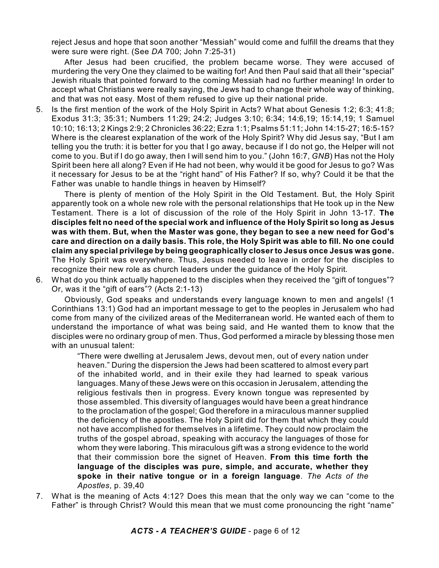reject Jesus and hope that soon another "Messiah" would come and fulfill the dreams that they were sure were right. (See *DA* 700; John 7:25-31)

After Jesus had been crucified, the problem became worse. They were accused of murdering the very One they claimed to be waiting for! And then Paul said that all their "special" Jewish rituals that pointed forward to the coming Messiah had no further meaning! In order to accept what Christians were really saying, the Jews had to change their whole way of thinking, and that was not easy. Most of them refused to give up their national pride.

5. Is the first mention of the work of the Holy Spirit in Acts? What about Genesis 1:2; 6:3; 41:8; Exodus 31:3; 35:31; Numbers 11:29; 24:2; Judges 3:10; 6:34; 14:6,19; 15:14,19; 1 Samuel 10:10; 16:13; 2 Kings 2:9; 2 Chronicles 36:22; Ezra 1:1; Psalms 51:11; John 14:15-27; 16:5-15? Where is the clearest explanation of the work of the Holy Spirit? Why did Jesus say, "But I am telling you the truth: it is better for you that I go away, because if I do not go, the Helper will not come to you. But if I do go away, then I will send him to you." (John 16:7, *GNB*) Has not the Holy Spirit been here all along? Even if He had not been, why would it be good for Jesus to go? Was it necessary for Jesus to be at the "right hand" of His Father? If so, why? Could it be that the Father was unable to handle things in heaven by Himself?

There is plenty of mention of the Holy Spirit in the Old Testament. But, the Holy Spirit apparently took on a whole new role with the personal relationships that He took up in the New Testament. There is a lot of discussion of the role of the Holy Spirit in John 13-17. **The disciples felt no need of the special work and influence of the Holy Spirit so long as Jesus was with them. But, when the Master was gone, they began to see a new need for God's care and direction on a daily basis. This role, the Holy Spirit was able to fill. No one could claim any special privilege by being geographically closer to Jesus once Jesus was gone.** The Holy Spirit was everywhere. Thus, Jesus needed to leave in order for the disciples to recognize their new role as church leaders under the guidance of the Holy Spirit.

6. What do you think actually happened to the disciples when they received the "gift of tongues"? Or, was it the "gift of ears"? (Acts 2:1-13)

Obviously, God speaks and understands every language known to men and angels! (1 Corinthians 13:1) God had an important message to get to the peoples in Jerusalem who had come from many of the civilized areas of the Mediterranean world. He wanted each of them to understand the importance of what was being said, and He wanted them to know that the disciples were no ordinary group of men. Thus, God performed a miracle by blessing those men with an unusual talent:

"There were dwelling at Jerusalem Jews, devout men, out of every nation under heaven." During the dispersion the Jews had been scattered to almost every part of the inhabited world, and in their exile they had learned to speak various languages. Many of these Jews were on this occasion in Jerusalem, attending the religious festivals then in progress. Every known tongue was represented by those assembled. This diversity of languages would have been a great hindrance to the proclamation of the gospel; God therefore in a miraculous manner supplied the deficiency of the apostles. The Holy Spirit did for them that which they could not have accomplished for themselves in a lifetime. They could now proclaim the truths of the gospel abroad, speaking with accuracy the languages of those for whom they were laboring. This miraculous gift was a strong evidence to the world that their commission bore the signet of Heaven. **From this time forth the language of the disciples was pure, simple, and accurate, whether they spoke in their native tongue or in a foreign language**. *The Acts of the Apostles*, p. 39,40

7. What is the meaning of Acts 4:12? Does this mean that the only way we can "come to the Father" is through Christ? Would this mean that we must come pronouncing the right "name"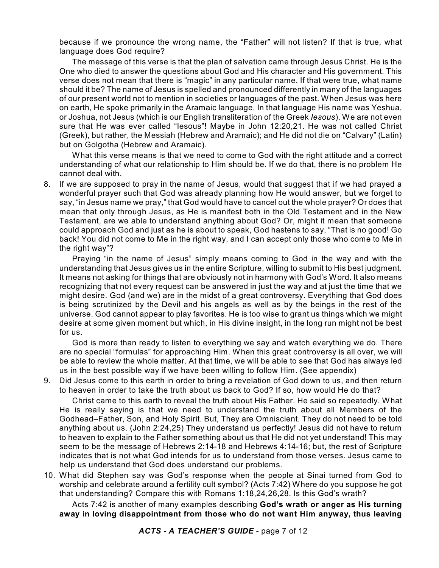because if we pronounce the wrong name, the "Father" will not listen? If that is true, what language does God require?

The message of this verse is that the plan of salvation came through Jesus Christ. He is the One who died to answer the questions about God and His character and His government. This verse does not mean that there is "magic" in any particular name. If that were true, what name should it be? The name of Jesus is spelled and pronounced differently in many of the languages of our present world not to mention in societies or languages of the past. When Jesus was here on earth, He spoke primarily in the Aramaic language. In that language His name was Yeshua, or Joshua, not Jesus (which is our English transliteration of the Greek *Iesous*). We are not even sure that He was ever called "Iesous"! Maybe in John 12:20,21. He was not called Christ (Greek), but rather, the Messiah (Hebrew and Aramaic); and He did not die on "Calvary" (Latin) but on Golgotha (Hebrew and Aramaic).

What this verse means is that we need to come to God with the right attitude and a correct understanding of what our relationship to Him should be. If we do that, there is no problem He cannot deal with.

8. If we are supposed to pray in the name of Jesus, would that suggest that if we had prayed a wonderful prayer such that God was already planning how He would answer, but we forget to say, "in Jesus name we pray," that God would have to cancel out the whole prayer? Or does that mean that only through Jesus, as He is manifest both in the Old Testament and in the New Testament, are we able to understand anything about God? Or, might it mean that someone could approach God and just as he is about to speak, God hastens to say, "That is no good! Go back! You did not come to Me in the right way, and I can accept only those who come to Me in the right way"?

Praying "in the name of Jesus" simply means coming to God in the way and with the understanding that Jesus gives us in the entire Scripture, willing to submit to His best judgment. It means not asking for things that are obviously not in harmony with God's Word. It also means recognizing that not every request can be answered in just the way and at just the time that we might desire. God (and we) are in the midst of a great controversy. Everything that God does is being scrutinized by the Devil and his angels as well as by the beings in the rest of the universe. God cannot appear to play favorites. He is too wise to grant us things which we might desire at some given moment but which, in His divine insight, in the long run might not be best for us.

God is more than ready to listen to everything we say and watch everything we do. There are no special "formulas" for approaching Him. When this great controversy is all over, we will be able to review the whole matter. At that time, we will be able to see that God has always led us in the best possible way if we have been willing to follow Him. (See appendix)

9. Did Jesus come to this earth in order to bring a revelation of God down to us, and then return to heaven in order to take the truth about us back to God? If so, how would He do that?

Christ came to this earth to reveal the truth about His Father. He said so repeatedly. What He is really saying is that we need to understand the truth about all Members of the Godhead–Father, Son, and Holy Spirit. But, They are Omniscient. They do not need to be told anything about us. (John 2:24,25) They understand us perfectly! Jesus did not have to return to heaven to explain to the Father something about us that He did not yet understand! This may seem to be the message of Hebrews 2:14-18 and Hebrews 4:14-16; but, the rest of Scripture indicates that is not what God intends for us to understand from those verses. Jesus came to help us understand that God does understand our problems.

10. What did Stephen say was God's response when the people at Sinai turned from God to worship and celebrate around a fertility cult symbol? (Acts 7:42) Where do you suppose he got that understanding? Compare this with Romans 1:18,24,26,28. Is this God's wrath?

Acts 7:42 is another of many examples describing **God's wrath or anger as His turning away in loving disappointment from those who do not want Him anyway, thus leaving**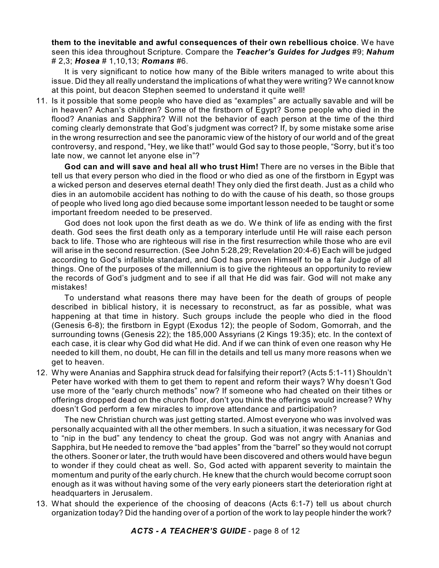**them to the inevitable and awful consequences of their own rebellious choice**. We have seen this idea throughout Scripture. Compare the *Teacher's Guides for Judges* #9; *Nahum* # 2,3; *Hosea* # 1,10,13; *Romans* #6.

It is very significant to notice how many of the Bible writers managed to write about this issue. Did they all really understand the implications of what they were writing? We cannot know at this point, but deacon Stephen seemed to understand it quite well!

11. Is it possible that some people who have died as "examples" are actually savable and will be in heaven? Achan's children? Some of the firstborn of Egypt? Some people who died in the flood? Ananias and Sapphira? Will not the behavior of each person at the time of the third coming clearly demonstrate that God's judgment was correct? If, by some mistake some arise in the wrong resurrection and see the panoramic view of the history of our world and of the great controversy, and respond, "Hey, we like that!" would God say to those people, "Sorry, but it's too late now, we cannot let anyone else in"?

**God can and will save and heal all who trust Him!** There are no verses in the Bible that tell us that every person who died in the flood or who died as one of the firstborn in Egypt was a wicked person and deserves eternal death! They only died the first death. Just as a child who dies in an automobile accident has nothing to do with the cause of his death, so those groups of people who lived long ago died because some important lesson needed to be taught or some important freedom needed to be preserved.

God does not look upon the first death as we do. We think of life as ending with the first death. God sees the first death only as a temporary interlude until He will raise each person back to life. Those who are righteous will rise in the first resurrection while those who are evil will arise in the second resurrection. (See John 5:28,29; Revelation 20:4-6) Each will be judged according to God's infallible standard, and God has proven Himself to be a fair Judge of all things. One of the purposes of the millennium is to give the righteous an opportunity to review the records of God's judgment and to see if all that He did was fair. God will not make any mistakes!

To understand what reasons there may have been for the death of groups of people described in biblical history, it is necessary to reconstruct, as far as possible, what was happening at that time in history. Such groups include the people who died in the flood (Genesis 6-8); the firstborn in Egypt (Exodus 12); the people of Sodom, Gomorrah, and the surrounding towns (Genesis 22); the 185,000 Assyrians (2 Kings 19:35); etc. In the context of each case, it is clear why God did what He did. And if we can think of even one reason why He needed to kill them, no doubt, He can fill in the details and tell us many more reasons when we get to heaven.

12. Why were Ananias and Sapphira struck dead for falsifying their report? (Acts 5:1-11) Shouldn't Peter have worked with them to get them to repent and reform their ways? Why doesn't God use more of the "early church methods" now? If someone who had cheated on their tithes or offerings dropped dead on the church floor, don't you think the offerings would increase? Why doesn't God perform a few miracles to improve attendance and participation?

The new Christian church was just getting started. Almost everyone who was involved was personally acquainted with all the other members. In such a situation, it was necessary for God to "nip in the bud" any tendency to cheat the group. God was not angry with Ananias and Sapphira, but He needed to remove the "bad apples" from the "barrel" so they would not corrupt the others. Sooner or later, the truth would have been discovered and others would have begun to wonder if they could cheat as well. So, God acted with apparent severity to maintain the momentum and purity of the early church. He knew that the church would become corrupt soon enough as it was without having some of the very early pioneers start the deterioration right at headquarters in Jerusalem.

13. What should the experience of the choosing of deacons (Acts 6:1-7) tell us about church organization today? Did the handing over of a portion of the work to lay people hinder the work?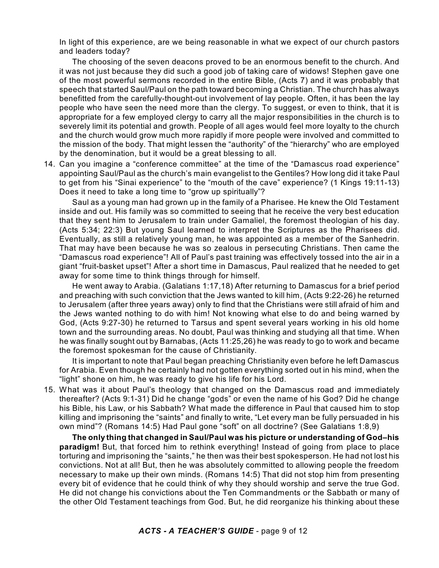In light of this experience, are we being reasonable in what we expect of our church pastors and leaders today?

The choosing of the seven deacons proved to be an enormous benefit to the church. And it was not just because they did such a good job of taking care of widows! Stephen gave one of the most powerful sermons recorded in the entire Bible, (Acts 7) and it was probably that speech that started Saul/Paul on the path toward becoming a Christian. The church has always benefitted from the carefully-thought-out involvement of lay people. Often, it has been the lay people who have seen the need more than the clergy. To suggest, or even to think, that it is appropriate for a few employed clergy to carry all the major responsibilities in the church is to severely limit its potential and growth. People of all ages would feel more loyalty to the church and the church would grow much more rapidly if more people were involved and committed to the mission of the body. That might lessen the "authority" of the "hierarchy" who are employed by the denomination, but it would be a great blessing to all.

14. Can you imagine a "conference committee" at the time of the "Damascus road experience" appointing Saul/Paul as the church's main evangelist to the Gentiles? How long did it take Paul to get from his "Sinai experience" to the "mouth of the cave" experience? (1 Kings 19:11-13) Does it need to take a long time to "grow up spiritually"?

Saul as a young man had grown up in the family of a Pharisee. He knew the Old Testament inside and out. His family was so committed to seeing that he receive the very best education that they sent him to Jerusalem to train under Gamaliel, the foremost theologian of his day. (Acts 5:34; 22:3) But young Saul learned to interpret the Scriptures as the Pharisees did. Eventually, as still a relatively young man, he was appointed as a member of the Sanhedrin. That may have been because he was so zealous in persecuting Christians. Then came the "Damascus road experience"! All of Paul's past training was effectively tossed into the air in a giant "fruit-basket upset"! After a short time in Damascus, Paul realized that he needed to get away for some time to think things through for himself.

He went away to Arabia. (Galatians 1:17,18) After returning to Damascus for a brief period and preaching with such conviction that the Jews wanted to kill him, (Acts 9:22-26) he returned to Jerusalem (after three years away) only to find that the Christians were still afraid of him and the Jews wanted nothing to do with him! Not knowing what else to do and being warned by God, (Acts 9:27-30) he returned to Tarsus and spent several years working in his old home town and the surrounding areas. No doubt, Paul was thinking and studying all that time. When he was finally sought out by Barnabas, (Acts 11:25,26) he was ready to go to work and became the foremost spokesman for the cause of Christianity.

It is important to note that Paul began preaching Christianity even before he left Damascus for Arabia. Even though he certainly had not gotten everything sorted out in his mind, when the "light" shone on him, he was ready to give his life for his Lord.

15. What was it about Paul's theology that changed on the Damascus road and immediately thereafter? (Acts 9:1-31) Did he change "gods" or even the name of his God? Did he change his Bible, his Law, or his Sabbath? What made the difference in Paul that caused him to stop killing and imprisoning the "saints" and finally to write, "Let every man be fully persuaded in his own mind"? (Romans 14:5) Had Paul gone "soft" on all doctrine? (See Galatians 1:8,9)

**The only thing that changed in Saul/Paul was his picture or understanding of God–his paradigm!** But, that forced him to rethink everything! Instead of going from place to place torturing and imprisoning the "saints," he then was their best spokesperson. He had not lost his convictions. Not at all! But, then he was absolutely committed to allowing people the freedom necessary to make up their own minds. (Romans 14:5) That did not stop him from presenting every bit of evidence that he could think of why they should worship and serve the true God. He did not change his convictions about the Ten Commandments or the Sabbath or many of the other Old Testament teachings from God. But, he did reorganize his thinking about these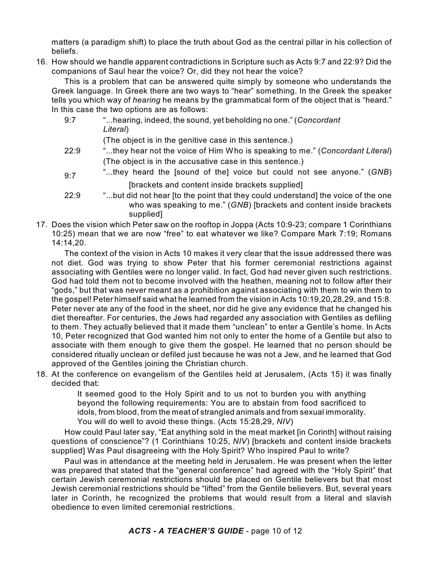matters (a paradigm shift) to place the truth about God as the central pillar in his collection of beliefs.

16. How should we handle apparent contradictions in Scripture such as Acts 9:7 and 22:9? Did the companions of Saul hear the voice? Or, did they not hear the voice?

This is a problem that can be answered quite simply by someone who understands the Greek language. In Greek there are two ways to "hear" something. In the Greek the speaker tells you which way of *hearing* he means by the grammatical form of the object that is "heard." In this case the two options are as follows:

9:7 "...hearing, indeed, the sound, yet beholding no one." (*Concordant Literal*)

(The object is in the genitive case in this sentence.)

- 22:9 "...they hear not the voice of Him Who is speaking to me." (*Concordant Literal*) (The object is in the accusative case in this sentence.)
- 9:7 "...they heard the [sound of the] voice but could not see anyone." (*GNB*) [brackets and content inside brackets supplied]
- 22:9 "...but did not hear [to the point that they could understand] the voice of the one who was speaking to me." (*GNB*) [brackets and content inside brackets supplied]
- 17. Does the vision which Peter saw on the rooftop in Joppa (Acts 10:9-23; compare 1 Corinthians 10:25) mean that we are now "free" to eat whatever we like? Compare Mark 7:19; Romans 14:14,20.

The context of the vision in Acts 10 makes it very clear that the issue addressed there was not diet. God was trying to show Peter that his former ceremonial restrictions against associating with Gentiles were no longer valid. In fact, God had never given such restrictions. God had told them not to become involved with the heathen, meaning not to follow after their "gods," but that was never meant as a prohibition against associating with them to win them to the gospel! Peter himself said what he learned from the vision in Acts 10:19,20,28,29, and 15:8. Peter never ate any of the food in the sheet, nor did he give any evidence that he changed his diet thereafter. For centuries, the Jews had regarded any association with Gentiles as defiling to them. They actually believed that it made them "unclean" to enter a Gentile's home. In Acts 10, Peter recognized that God wanted him not only to enter the home of a Gentile but also to associate with them enough to give them the gospel. He learned that no person should be considered ritually unclean or defiled just because he was not a Jew, and he learned that God approved of the Gentiles joining the Christian church.

18. At the conference on evangelism of the Gentiles held at Jerusalem, (Acts 15) it was finally decided that:

> It seemed good to the Holy Spirit and to us not to burden you with anything beyond the following requirements: You are to abstain from food sacrificed to idols, from blood, from the meat of strangled animals and from sexual immorality. You will do well to avoid these things. (Acts 15:28,29, *NIV*)

How could Paul later say, "Eat anything sold in the meat market [in Corinth] without raising questions of conscience"? (1 Corinthians 10:25, *NIV*) [brackets and content inside brackets supplied] Was Paul disagreeing with the Holy Spirit? Who inspired Paul to write?

Paul was in attendance at the meeting held in Jerusalem. He was present when the letter was prepared that stated that the "general conference" had agreed with the "Holy Spirit" that certain Jewish ceremonial restrictions should be placed on Gentile believers but that most Jewish ceremonial restrictions should be "lifted" from the Gentile believers. But, several years later in Corinth, he recognized the problems that would result from a literal and slavish obedience to even limited ceremonial restrictions.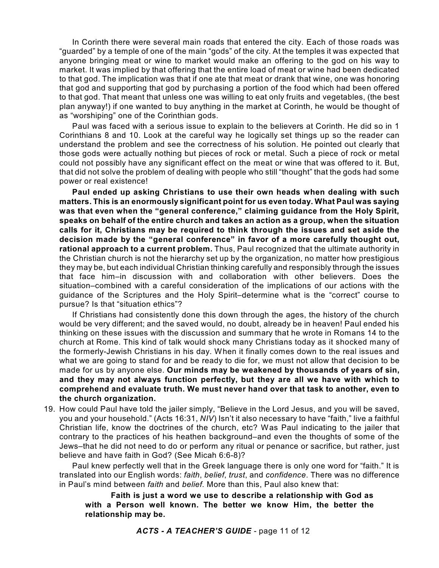In Corinth there were several main roads that entered the city. Each of those roads was "guarded" by a temple of one of the main "gods" of the city. At the temples it was expected that anyone bringing meat or wine to market would make an offering to the god on his way to market. It was implied by that offering that the entire load of meat or wine had been dedicated to that god. The implication was that if one ate that meat or drank that wine, one was honoring that god and supporting that god by purchasing a portion of the food which had been offered to that god. That meant that unless one was willing to eat only fruits and vegetables, (the best plan anyway!) if one wanted to buy anything in the market at Corinth, he would be thought of as "worshiping" one of the Corinthian gods.

Paul was faced with a serious issue to explain to the believers at Corinth. He did so in 1 Corinthians 8 and 10. Look at the careful way he logically set things up so the reader can understand the problem and see the correctness of his solution. He pointed out clearly that those gods were actually nothing but pieces of rock or metal. Such a piece of rock or metal could not possibly have any significant effect on the meat or wine that was offered to it. But, that did not solve the problem of dealing with people who still "thought" that the gods had some power or real existence!

**Paul ended up asking Christians to use their own heads when dealing with such matters. This is an enormously significant point for us even today. What Paul was saying was that even when the "general conference," claiming guidance from the Holy Spirit, speaks on behalf of the entire church and takes an action as a group, when the situation calls for it, Christians may be required to think through the issues and set aside the decision made by the "general conference" in favor of a more carefully thought out, rational approach to a current problem.** Thus, Paul recognized that the ultimate authority in the Christian church is not the hierarchy set up by the organization, no matter how prestigious they may be, but each individual Christian thinking carefully and responsibly through the issues that face him–in discussion with and collaboration with other believers. Does the situation–combined with a careful consideration of the implications of our actions with the guidance of the Scriptures and the Holy Spirit–determine what is the "correct" course to pursue? Is that "situation ethics"?

If Christians had consistently done this down through the ages, the history of the church would be very different; and the saved would, no doubt, already be in heaven! Paul ended his thinking on these issues with the discussion and summary that he wrote in Romans 14 to the church at Rome. This kind of talk would shock many Christians today as it shocked many of the formerly-Jewish Christians in his day. When it finally comes down to the real issues and what we are going to stand for and be ready to die for, we must not allow that decision to be made for us by anyone else. **Our minds may be weakened by thousands of years of sin, and they may not always function perfectly, but they are all we have with which to comprehend and evaluate truth. We must never hand over that task to another, even to the church organization.**

19. How could Paul have told the jailer simply, "Believe in the Lord Jesus, and you will be saved, you and your household." (Acts 16:31, *NIV*) Isn't it also necessary to have "faith," live a faithful Christian life, know the doctrines of the church, etc? Was Paul indicating to the jailer that contrary to the practices of his heathen background–and even the thoughts of some of the Jews–that he did not need to do or perform any ritual or penance or sacrifice, but rather, just believe and have faith in God? (See Micah 6:6-8)?

Paul knew perfectly well that in the Greek language there is only one word for "faith." It is translated into our English words: *faith*, *belief*, *trust*, and *confidence*. There was no difference in Paul's mind between *faith* and *belief*. More than this, Paul also knew that:

**Faith is just a word we use to describe a relationship with God as with a Person well known. The better we know Him, the better the relationship may be.**